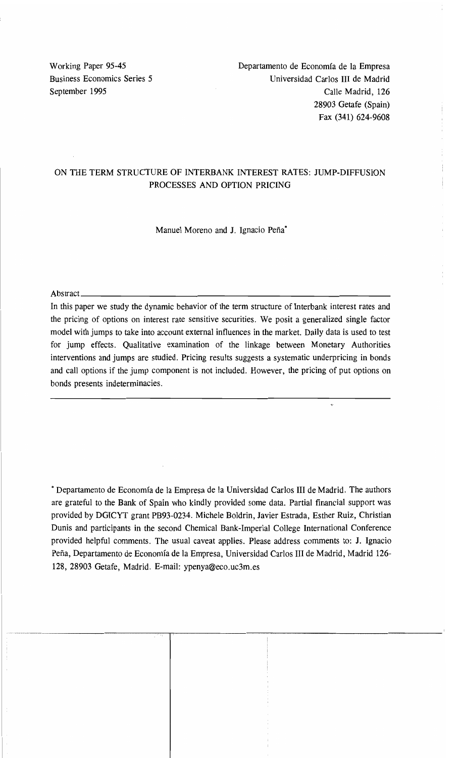Working Paper 95-45 Departamento de Economía de la Empresa Business Economics Series 5 Universidad Carlos III de Madrid September 1995 **Calle Madrid, 126** 28903 Getafe (Spain) Fax (341) 624-9608

# ON THE TERM STRUCTURE OF INTERBANK INTEREST RATES: JUMP-DIFFUSION PROCESSES AND OPTION PRICING

Manuel Moreno and J. Ignacio Peña·

Abstract  $\overline{a}$ 

In this paper we study the dynamic behavior of the term structure of Interbank interest rates and the pricing of options on interest rate sensitive securities. We posit a generalized single factor model with jumps to take into account external influences in the market. Daily data is used to test for jump effects. Qualitative examination of the linkage between Monetary Authorities interventions and jumps are studied. Pricing results suggests a systematic underpricing in bonds and call options if the jump component is not included. However, the pricing of put options on bonds presents indeterminacies.

• Departamento de Economía de la Empresa de la Universidad Carlos III de Madrid. The authors are grateful to the Bank of Spain who kindly provided sorne data. Partial financial support was provided by DGICYT grant PB93-0234. Michele Boldrin, Javier Estrada, Esther Ruiz, Christian Dunis and participants in the second Chemical Bank-Imperial College International Conference provided helpful comments. The usual caveat applies. Please address cornments to: J. Ignacio Peña, Departamento de Economía de la Empresa, Universidad Carlos III de Madrid, Madrid 126 128, 28903 Getafe, Madrid. E-mail: ypenya@eco.uc3m.es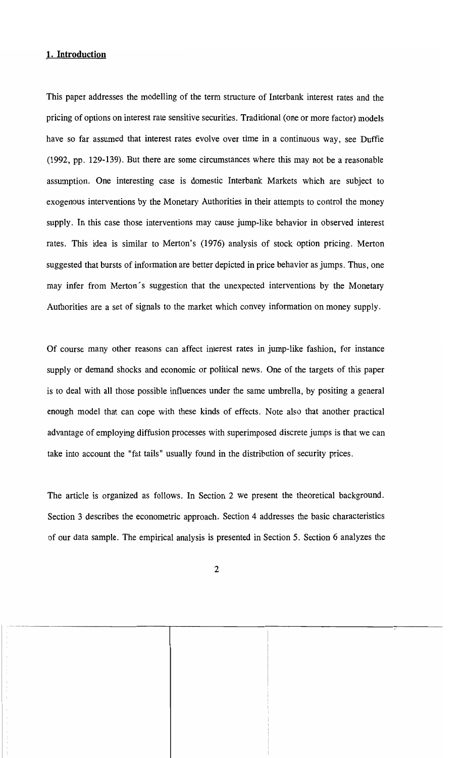# **1. Introduction**

This paper addresses the modelling of the term structure of Interbank interest rates and the pricing of options on interest rate sensitive securities. Traditional (one or more factor) models have so far assumed that interest rates evolve over time in a continuous way, see Duffie (1992, pp. 129-139). But there are sorne circumstances where this may not be a reasonable assumption. One interesting case is domestic Interbank Markets which are subject to exogenous interventions by the Monetary Authorities in their attempts to control the money supply. In this case those interventions may cause jump-like behavior in observed interest rates. This idea is similar to Merton's (1976) analysis of stock option pricing. Merton suggested that bursts of information are better depicted in price behavior as jumps. Thus, one may infer from Merton's suggestion that the unexpected interventions by the Monetary Authorities are a set of signals to the market which convey information on money supply.

Of course many other reasons can affect interest rates in jump-like fashion, for instance supply or demand shocks and economic or political news. One of the targets of this paper is to deal with all those possible influences under the same umbrella, by positing a general enough model that can cope with these kinds of effects. Note also that another practical advantage of employing diffusion processes with superimposed discrete jumps is thatwe can take into account the "fat tails" usually found in the distribution of security prices.

The article is organized as follows. In Section 2 we present the theoretical background. Section 3 describes the econometric approach. Section 4 addresses the basic characteristics of our data sample. The empirical analysis is presented in Section 5. Section 6 analyzes the

- ----------------------,----------------------r-----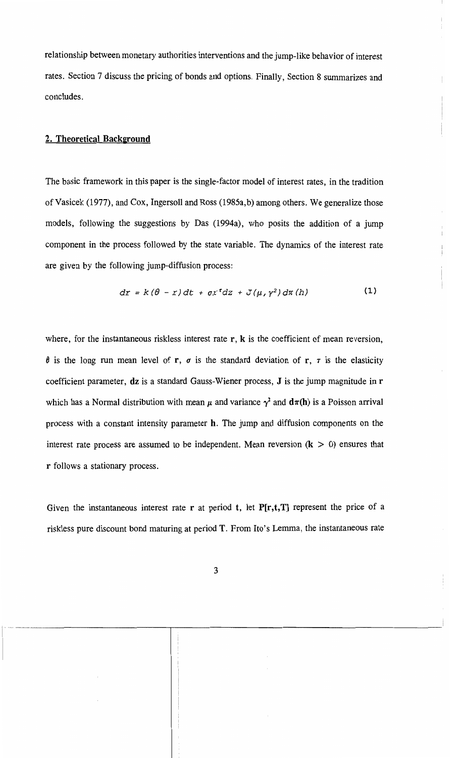relationship between monetary authorities interventions and the jump-like behavior of interest rates. Section 7 discuss the pricing of bonds and options. Finally, Section 8 surnmarizes and conc1udes.

## 2. Theoretical Background

The basic framework in this paper is the single-factor model of interest rates, in the tradition of Vasicek (1977), and Cox, Ingersoll and Ross (1985a,b) among others. We generalize those models, following the suggestions by Das (1994a), who posits the addition of a jump component in the process followed by the state variable. The dynamics of the interest rate are given by the following jump-diffusion process:

$$
dr = k(\theta - r) dt + \sigma r^{r} dz + J(\mu, \gamma^{2}) d\pi(h)
$$
 (1)

where, for the instantaneous riskless interest rate  $r$ ,  $k$  is the coefficient of mean reversion,  $\theta$  is the long run mean level of r,  $\sigma$  is the standard deviation of r,  $\tau$  is the elasticity coefficient parameter, dz is a standard Gauss-Wiener process, J is the jump magnitude in r which has a Normal distribution with mean  $\mu$  and variance  $\gamma^2$  and  $d\pi(h)$  is a Poisson arrival process with a constant intensity parameter h. The jump and diffusion components on the interest rate process are assumed to be independent. Mean reversion  $(k > 0)$  ensures that r follows a stationary process.

Given the instantaneous interest rate r at period t, let  $P[r,t,T]$  represent the price of a riskless pure discount bond maturing at period T. From Ito's Lemma, the instantaneous rate

. The constraint of  $\overline{\phantom{a}}$  ,  $\overline{\phantom{a}}$  ,  $\overline{\phantom{a}}$  ,  $\overline{\phantom{a}}$  ,  $\overline{\phantom{a}}$  ,  $\overline{\phantom{a}}$  ,  $\overline{\phantom{a}}$  ,  $\overline{\phantom{a}}$  ,  $\overline{\phantom{a}}$  ,  $\overline{\phantom{a}}$  ,  $\overline{\phantom{a}}$  ,  $\overline{\phantom{a}}$  ,  $\overline{\phantom{a}}$  ,  $\overline{\phantom{a}}$  ,  $\overline{\$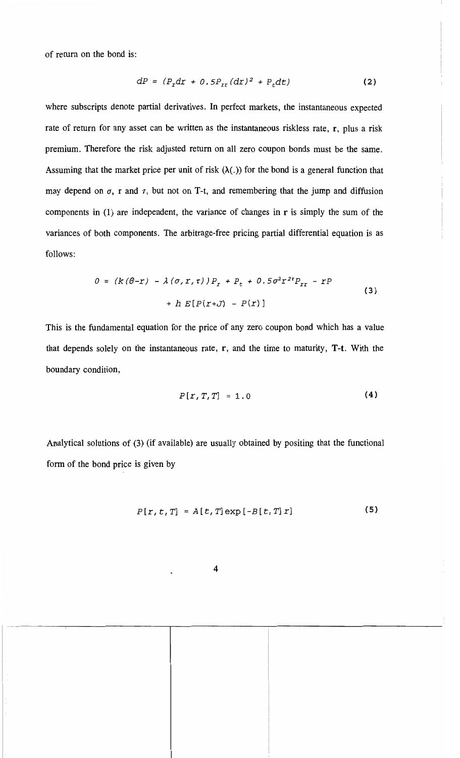of retum on the bond is:

$$
dP = (P_r dr + 0.5P_{rr} (dr)^2 + P_t dt)
$$
 (2)

where subscripts denote partial derivatives. In perfect markets, the instantaneous expected rate of return for any asset can be written as the instantaneous riskless rate, r, plus a risk premium. Therefore the risk adjusted retum on a11 zero coupon bonds must be the same. Assuming that the market price per unit of risk  $(\lambda(.)$  for the bond is a general function that may depend on  $\sigma$ , r and  $\tau$ , but not on T-t, and remembering that the jump and diffusion components in (1) are independent, the variance of changes in r is simply the sum of the variances of both components. The arbitrage-free pricing partial differential equation is as fo11ows:

$$
0 = (k(\theta - r) - \lambda(\sigma, r, \tau))P_r + P_t + 0.5\sigma^2 r^{2\tau} P_{rr} - rP
$$
  
+ h E[P(r+J) - P(r)] (3)

This is the fundamental equation for the price of any zero coupon bond which has a value that depends solely on the instantaneous rate, r, and the time to maturity, T-t. With the boundary condition,

$$
P[x, T, T] = 1.0 \tag{4}
$$

Analytical solutions of (3) (if available) are usua11y obtained by positing that the functional form of the bond price is given by

$$
P[r, t, T] = A[t, T] \exp[-B[t, T] r]
$$
 (5)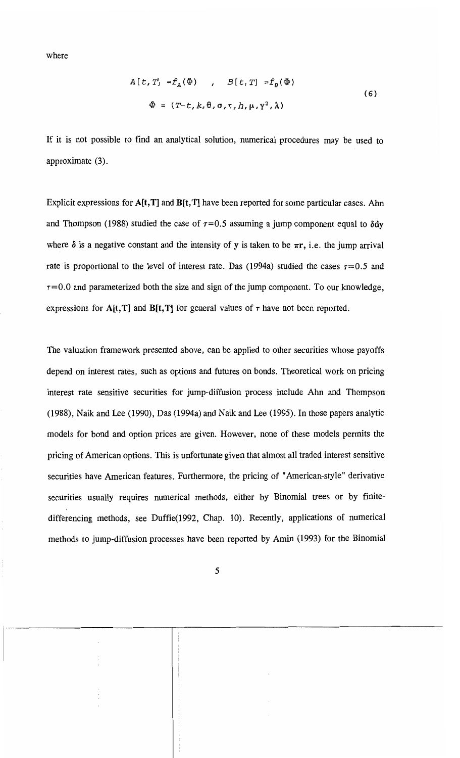where

$$
A[t, T] = f_A(\Phi) , B[t, T] = f_B(\Phi)
$$
  
\n
$$
\Phi = (T-t, k, \theta, \sigma, \tau, h, \mu, \gamma^2, \lambda)
$$
\n(6)

If it is not possible to find an analytical solution, numerical procedures may be used to approximate (3).

Explicit expressions for  $A[t,T]$  and  $B[t,T]$  have been reported for some particular cases. Ahn and Thompson (1988) studied the case of  $\tau=0.5$  assuming a jump component equal to  $\delta dy$ where  $\delta$  is a negative constant and the intensity of y is taken to be  $\pi r$ , i.e. the jump arrival rate is proportional to the level of interest rate. Das (1994a) studied the cases  $\tau = 0.5$  and  $\tau$ =0.0 and parameterized both the size and sign of the jump component. To our knowledge, expressions for A[t,T] and B[t,T] for general values of  $\tau$  have not been reported.

The valuation framework presented aboye, can be applied to other securities whose payoffs depend on interest rates, such as options and futures on bonds. Theoretical work on pricing interest rate sensitive securities for jump-diffusion process include Ahn and Thompson (1988), Naik and Lee (1990), Das (1994a) and Naik and Lee (1995). In those papers analytic models for bond and option prices are given. However, none of these models permits the pricing of American options. This is unfortunate given that almost all traded interest sensitive securities have American features. Furthermore, the pricing of "American-style" derivative securities usually requires numerical methods, either by Binomial trees or by finitedifferencing methods, see Duffie(1992, Chap. 10). Recently, applications of numerical methods to jump-diffusion processes have been reported by Amin (1993) for the Binomial

...... \_---\_.\_----------.-----------------------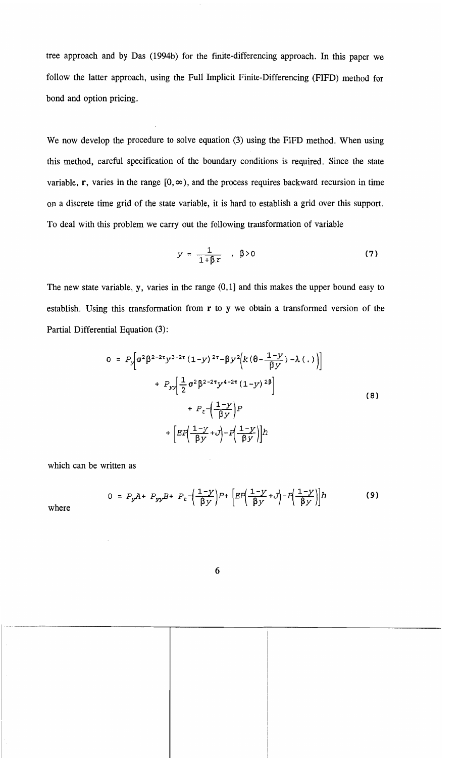tree approach and by Das (1994b) for the finite-differencing approach. In this paper we follow the latter approach, using the Full Implicit Finite-Differencing (FIFD) method for bond and option pricing.

We now develop the procedure to solve equation (3) using the FIFD method. When using this method, careful specification of the boundary conditions is required. Since the state variable, r, varies in the range  $[0, \infty)$ , and the process requires backward recursion in time on a discrete time grid of the state variable, it is hard to establish a grid over this support. To deal with this problem we carry out the following transformation of variable

$$
y = \frac{1}{1 + \beta x} \quad , \quad \beta > 0 \tag{7}
$$

The new state variable, y, varies in the range (0,1] and this makes the upper bound easy to establish. Using this transformation from  $r$  to  $y$  we obtain a transformed version of the Partial Differential Equation (3):

$$
0 = P_y \bigg[ \sigma^2 \beta^{2-2\tau} y^{3-2\tau} (1-y)^{2\tau} - \beta y^2 \bigg( k (\theta - \frac{1-y}{\beta y}) - \lambda(.) \bigg) \bigg] + P_{yy} \bigg[ \frac{1}{2} \sigma^2 \beta^{2-2\tau} y^{4-2\tau} (1-y)^{2\beta} \bigg] + P_{\epsilon} \bigg( \frac{1-y}{\beta y} \bigg) P + \bigg[ E P \bigg( \frac{1-y}{\beta y} + y \bigg) - P \bigg( \frac{1-y}{\beta y} \bigg) \bigg] h \tag{8}
$$

which can be written as

$$
0 = P_y A + P_{yy} B + P_t - \left(\frac{1-y}{\beta y}\right) P + \left[EP\left(\frac{1-y}{\beta y} + J\right) - P\left(\frac{1-y}{\beta y}\right)\right] h \tag{9}
$$

where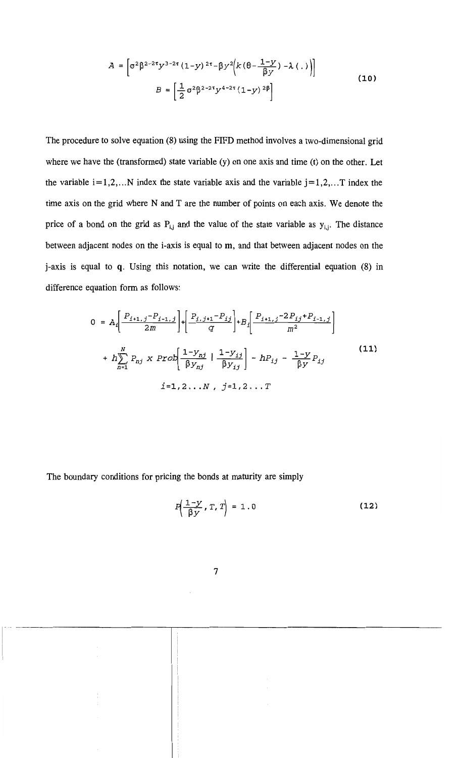$$
A = \left[\sigma^{2} \beta^{2-2\tau} y^{3-2\tau} (1-y)^{2\tau} - \beta y^{2} \left(k \left(\theta - \frac{1-y}{\beta y}\right) - \lambda(.)\right)\right]
$$
  

$$
B = \left[\frac{1}{2} \sigma^{2} \beta^{2-2\tau} y^{4-2\tau} (1-y)^{2\beta}\right]
$$
 (10)

The procedure to solve equation (8) using the FIFD method involves a two-dimensional grid where we have the (transformed) state variable (y) on one axis and time (t) on the other. Let the variable  $i=1,2,...N$  index the state variable axis and the variable  $j=1,2,...T$  index the time axis on the grid where N and T are the number of points on each axis. We denote the price of a bond on the grid as  $P_{i,j}$  and the value of the state variable as  $y_{i,j}$ . The distance between adjacent nodes on the i-axis is equal to m, and that between adjacent nodes on the j-axis is equal to q. Using this notation, we can write the differential equation (8) in difference equation form as follows:

$$
0 = A_{i} \left[ \frac{P_{i+1,j} - P_{i-1,j}}{2m} \right] + \left[ \frac{P_{i,j+1} - P_{ij}}{q} \right] + B_{i} \left[ \frac{P_{i+1,j} - 2P_{ij} + P_{i-1,j}}{m^{2}} \right]
$$
  
+ 
$$
h \sum_{n=1}^{N} P_{nj} \times \text{Prob} \left[ \frac{1 - y_{nj}}{\beta y_{nj}} \mid \frac{1 - y_{ij}}{\beta y_{ij}} \right] - h P_{ij} - \frac{1 - y}{\beta y} P_{ij}
$$
  

$$
i = 1, 2, ..., N, j = 1, 2, ... T
$$
 (11)

The boundary conditions for pricing the bonds at maturity are simply

$$
P\left(\frac{1-y}{\beta y}, T, T\right) = 1.0
$$
 (12)

.----\_.\_-\_.\_-------------,---------------------------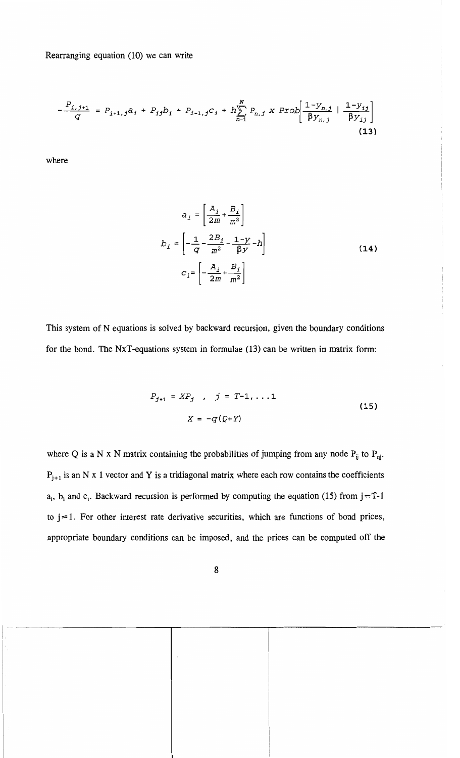Rearranging equation (10) we can write

$$
-\frac{P_{i,j+1}}{q} = P_{i+1,j}a_i + P_{ij}b_i + P_{i-1,j}c_i + h\sum_{n=1}^{N} P_{n,j} \times Prob\left[\frac{1-y_{n,j}}{\beta y_{n,j}} + \frac{1-y_{ij}}{\beta y_{ij}}\right]
$$
\n(13)

where

$$
a_{i} = \left[\frac{A_{i}}{2m} + \frac{B_{i}}{m^{2}}\right]
$$
  

$$
b_{i} = \left[-\frac{1}{q} - \frac{2B_{i}}{m^{2}} - \frac{1-y}{\beta y} - h\right]
$$
  

$$
C_{i} = \left[-\frac{A_{i}}{2m} + \frac{B_{i}}{m^{2}}\right]
$$
 (14)

This system of N equations is solved by backward recursion, given the boundary conditions for the bond. The NxT-equations system in formulae (13) can be written in matrix form:

$$
P_{j+1} = XP_j , j = T-1, ...1
$$
  

$$
X = -q(Q+Y)
$$
 (15)

 $a_i$ ,  $b_i$  and  $c_i$ . Backward recursion is performed by computing the equation (15) from  $j=T-1$ where Q is a N x N matrix containing the probabilities of jumping from any node  $P_{ij}$  to  $P_{nj}$ .  $P_{j+1}$  is an N x 1 vector and Y is a tridiagonal matrix where each row contains the coefficients to  $i = 1$ . For other interest rate derivative securities, which are functions of bond prices, appropriate boundary conditions can be imposed, and the prices can be computed off the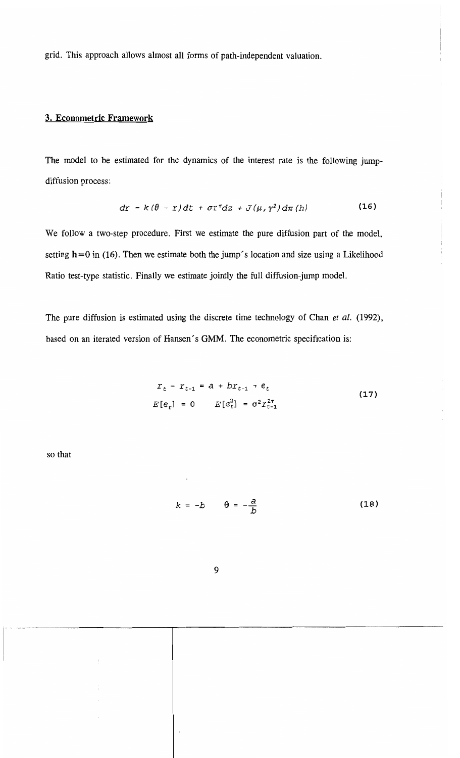grid. This approach allows almost all forms of path-independent valuatíon.

#### 3. Econometric Framework

The model to be estimated for the dynamics of the interest rate is the following jumpdiffusion process:

$$
dr = k(\theta - r)dt + \sigma r^{r}dz + J(\mu, \gamma^{2})d\pi(h)
$$
 (16)

We follow a two-step procedure. First we estímate the pure diffusion part of the model, setting  $h = 0$  in (16). Then we estimate both the jump's location and size using a Likelihood Ratio test-type statistic. Finally we estímate jointly the full diffusion-jump model.

The pure diffusion is estimated using the discrete time technology of Chan *el al.* (1992), based on an iterated version of Hansen's GMM. The econometric specification is:

$$
r_t - r_{t-1} = a + br_{t-1} + \mathfrak{e}_t
$$
  
\n
$$
E[\mathfrak{e}_t] = 0 \qquad E[\mathfrak{e}_t^2] = \sigma^2 r_{t-1}^{2\tau}
$$
\n(17)

so that

$$
k = -b \qquad \theta = -\frac{a}{b} \tag{18}
$$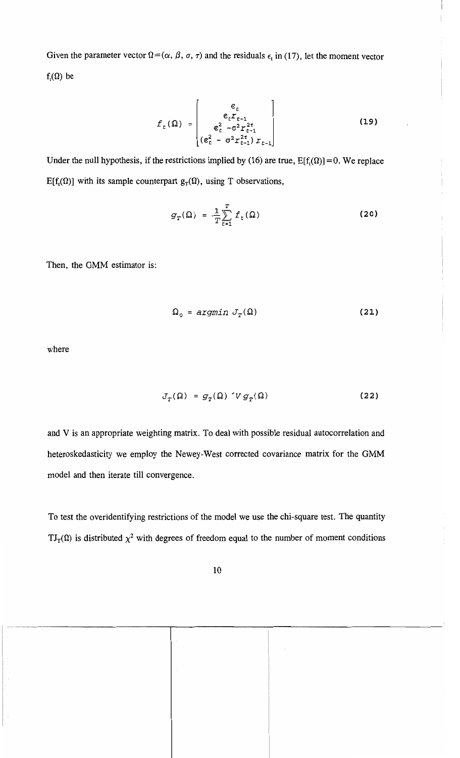Given the parameter vector  $\Omega = (\alpha, \beta, \sigma, \tau)$  and the residuals  $\epsilon_t$  in (17), let the moment vector  $f_{i}(\Omega)$  be

$$
f_{t}(\Omega) = \begin{vmatrix} \varepsilon_{t} \\ \varepsilon_{t} Y_{t-1} \\ \varepsilon_{t}^{2} - \sigma^{2} \Gamma_{t-1}^{2\tau} \\ (\varepsilon_{t}^{2} - \sigma^{2} \Gamma_{t-1}^{2\tau}) Y_{t-1} \end{vmatrix}
$$
(19)

Under the null hypothesis, if the restrictions implied by (16) are true,  $E[f<sub>t</sub>(\Omega)] = 0$ . We replace E[f<sub>t</sub>( $\Omega$ )] with its sample counterpart  $g_T(\Omega)$ , using T observations,

$$
g_T(\Omega) = \frac{1}{T} \sum_{t=1}^T f_t(\Omega)
$$
 (20)

Then, the GMM estimator is:

$$
\Omega_0 = \arg\min J_T(\Omega) \tag{21}
$$

where

$$
J_T(\Omega) = g_T(\Omega) \check{V} g_T(\Omega) \tag{22}
$$

and V is an appropriate weighting matrix. To deal with possible residual autocorrelation and heteroskedasticity we employ the Newey-West corrected covariance matrix for the GMM model and then iterate till convergence.

To test the overidentifying restrictions of the model we use the chi-square test. The quantity  $TI_T(\Omega)$  is distributed  $\chi^2$  with degrees of freedom equal to the number of moment conditions

--- ----------------------,.--------------------------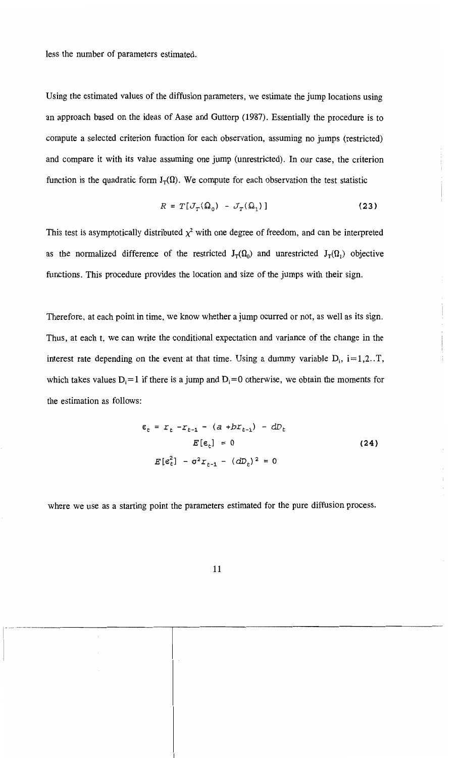less the number of parameters estimated.

Using the estimated values of the diffusion parameters, we estimate the jump locations using an approach based on the ideas of Aase and Guttorp (1987). Essentially the procedure is to compute a selected criterion function for each observation, assuming no jumps (restricted) and compare it with its value assuming one jump (unrestricted). In our case, the criterion function is the quadratic form  $J_T(\Omega)$ . We compute for each observation the test statistic

$$
R = T[J_T(\Omega_0) - J_T(\Omega_1)] \qquad (23)
$$

This test is asymptotically distributed  $\chi^2$  with one degree of freedom, and can be interpreted as the normalized difference of the restricted  $J_T(\Omega_0)$  and unrestricted  $J_T(\Omega_1)$  objective functions. This procedure provides the location and size of the jumps with their sign.

Therefore, at each point in time, we know whether a jump ocurred or not, as well as its sign. Thus, at each t, we can write the conditional expectation and variance of the change in the interest rate depending on the event at that time. Using a dummy variable  $D_i$ , i=1,2..T, which takes values  $D_i = 1$  if there is a jump and  $D_i = 0$  otherwise, we obtain the moments for the estimation as follows:

$$
\varepsilon_{t} = r_{t} - r_{t-1} - (a + bx_{t-1}) - dD_{t}
$$
  

$$
E[\varepsilon_{t}] = 0
$$
 (24)  

$$
E[\varepsilon_{t}^{2}] - \sigma^{2} r_{t-1} - (dD_{t})^{2} = 0
$$

where we use as a starting point the parameters estimated for the pure diffusion process.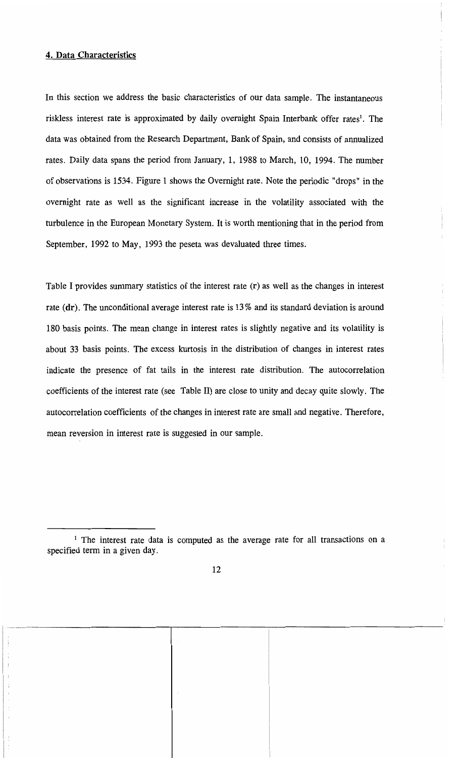# 4. Data Characteristics

In this section we address the basic characteristics of our data sample. The instantaneous riskless interest rate is approximated by daily overnight Spain Interbank offer rates<sup>1</sup>. The data was obtained from the Research Department, Bank of Spain, and consists of annualized rates. Daily data spans the period from January, 1, 1988 to March, 10, 1994. The number of observations is 1534. Figure 1 shows the Ovemight rate. Note the periodic "drops" in the ovemight rate as we11 as the significant increase in the volatility associated with the turbulence in the European Monetary System. It is worth mentioning that in the period from September, 1992 to May, 1993 the peseta was devaluated three times.

Table I provides summary statistics of the interest rate  $(r)$  as well as the changes in interest rate (dr). The unconditional average interest rate is 13% and its standard deviation is around 180 basis points. The mean change in interest rates is slightly negative and its volatility is about 33 basis points. The excess kurtosis in the distribution of changes in interest rates indicate the presence of fat tails in the interest rate distribution. The autocorrelation coefficients of the interest rate (see Table Il) are close to unity and decay quite slowly. The autocorrelation coefficients of the changes in interest rate are sma11 and negative. Therefore, mean reversion in interest rate is suggested in our sample.

<sup>&</sup>lt;sup>1</sup> The interest rate data is computed as the average rate for all transactions on a specified term in a given day.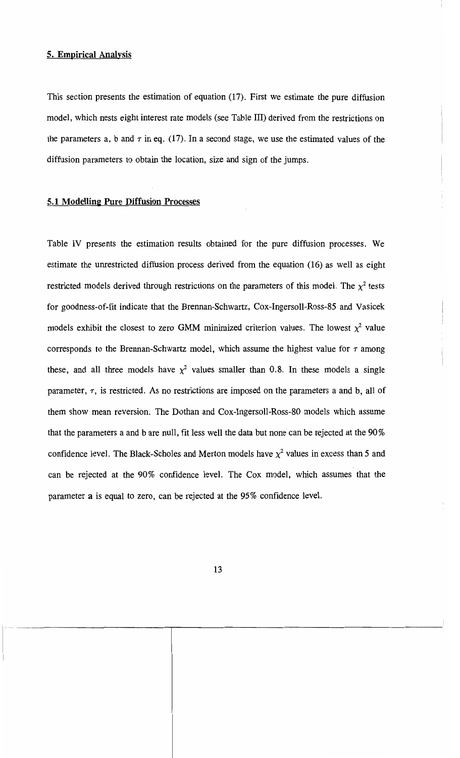#### 5. Empirical Analysis

This section presents the estimation of equation (17). First we estimate the pure diffusion model, which nests eight interest rate models (see Table 111) derived from the restrictions on the parameters a, b and  $\tau$  in eq. (17). In a second stage, we use the estimated values of the diffusion parameters to obtain the location, size and sign of the jumps.

#### 5.1 Modelling Pure Diffusion Processes

Table IV presents the estimation results obtained for the pure diffusion processes. We estimate the unrestricted diffusion process derived from the equation (16) as we11 as eight restricted models derived through restrictions on the parameters of this model. The  $\chi^2$  tests for goodness-of-fit indicate that the Brennan-Schwartz, Cox-Ingerso11-Ross-85 and Vasicek models exhibit the closest to zero GMM minimized criterion values. The lowest  $\chi^2$  value corresponds to the Brennan-Schwartz model, which assume the highest value for  $\tau$  among these, and all three models have  $\chi^2$  values smaller than 0.8. In these models a single parameter,  $\tau$ , is restricted. As no restrictions are imposed on the parameters a and b, all of them show mean reversion. The Dothan and Cox-Ingerso11-Ross-80 models which assume that the parameters a and b are null, fit less well the data but none can be rejected at the  $90\%$ confidence level. The Black-Scholes and Merton models have  $\chi^2$  values in excess than 5 and can be rejected at the 90% confidence level. The Cox model, which assumes that the parameter a is equal to zero, can be rejected at the 95 % confidence level.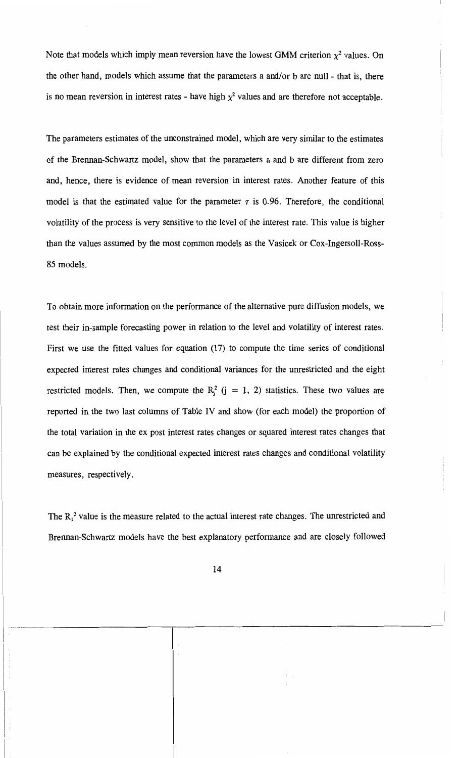Note that models which imply mean reversion have the lowest GMM criterion  $\chi^2$  values. On the other hand, models which assume that the parameters a and/or b are null - that is, there is no mean reversion in interest rates - have high  $\chi^2$  values and are therefore not acceptable.

The parameters estimates of the unconstrained model, which are very similar to the estimates of the Brennan-Schwanz model, show that the parameters a and b are different from zero and, hence, there is evidence of mean reversion in interest rates. Another feature of this model is that the estimated value for the parameter  $\tau$  is 0.96. Therefore, the conditional volatility of the process is very sensitive to the level of the interest rate. This value is higher than the values assumed by the most common models as the Vasicek or Cox-Ingersoll-Ross-85 models.

To obtain more information on the performance of the alternative pure diffusion models, we test their in-sample forecasting power in relation to the level and volatility of interest rates. First we use the fitted values for equation (17) to compute the time series of conditional expected interest rates changes and conditional variances for the unrestricted and the eight restricted models. Then, we compute the  $R_j^2$  (j = 1, 2) statistics. These two values are reported in the two last columns of Table IV and show (for each model) the proportion of the total variation in the ex post interest rates changes or squared interest rates changes that can be explained by the conditional expected interest rates changes and conditional volatility measures, respectively.

The  $R_1^2$  value is the measure related to the actual interest rate changes. The unrestricted and Brennan-Schwartz models have the best explanatory performance and are closely followed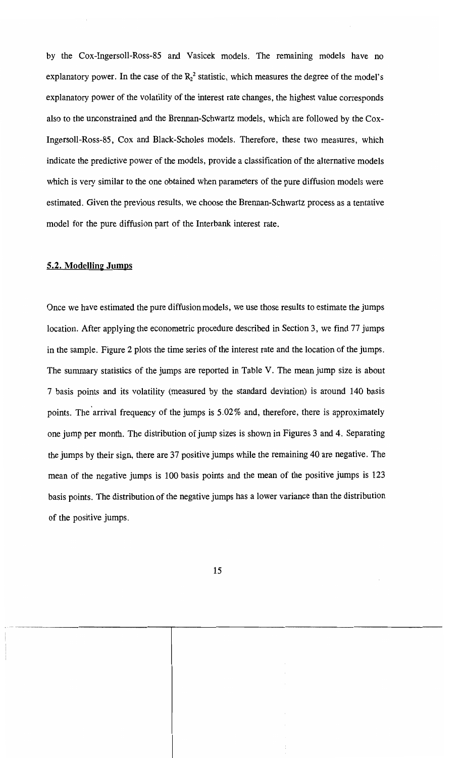by the Cox-Ingersoll-Ross-85 and Vasicek models. The remaining models have no explanatory power. In the case of the  $R_2^2$  statistic, which measures the degree of the model's explanatory power of the volatility of the interest rate changes, the highest value corresponds also to the unconstrained and the Brennan-Schwartz models, which are followed by the Cox-Ingersoll-Ross-85, Cox and Black-Scholes models. Therefore, these two measures, which indicate the predictive power of the models, provide a classification of the alternative models which is very similar to the one obtained when parameters of the pure diffusion models were estimated. Given the previous results, we choose the Brennan-Schwartz process as a tentative model for the pure diffusion part of the Interbank interest rate.

#### 5.2. **Modelling Jumps**

Once we have estimated the pure diffusion models, we use those results to estimate the jumps location. After applying the econometric procedure described in Section 3, we find 77 jumps in the sample. Figure 2 plots the time series of the interest rate and the location of the jumps. The summary statistics of the jumps are reported in Table V. The mean jump size is about 7 basis points and its volatility (measured by the standard deviation) is around 140 basis points. The arrival frequency of the jumps is 5.02% and, therefore, there is approximately one jump per month. The distribution of jump sizes is shown in Figures 3 and 4. Separating the jumps by their sign, there are 37 positive jumps while the remaining 40 are negative. The mean of the negative jumps is 100 basis points and the mean of the positive jumps is 123 basis points. The distribution of the negative jumps has a lower variance than the distribution of the positive jumps.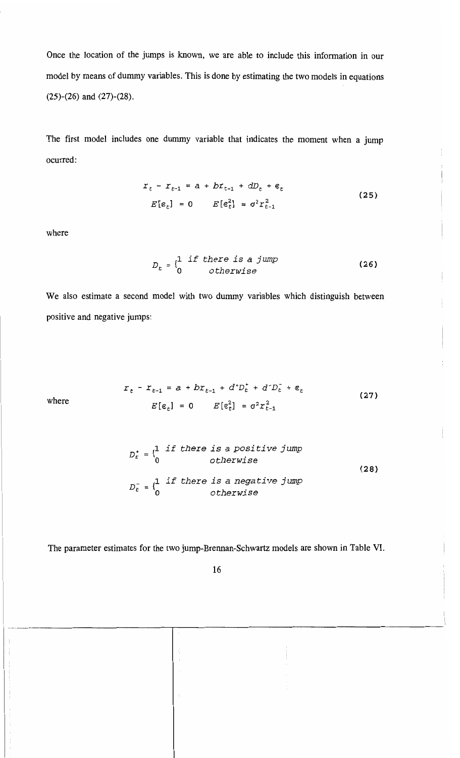Once the location of the jumps is known, we are able to include this information in our model by means of dummy variables. This is done by estimating the two models in equations (25)-(26) and (27)-(28).

The first model includes one dummy variable that indicates the moment when a jump ocurred:

$$
r_{t} - r_{t-1} = a + br_{t-1} + dD_{t} + \varepsilon_{t}
$$
  
\n
$$
E[\varepsilon_{r}] = 0 \qquad E[\varepsilon_{r}^{2}] = \sigma^{2} r_{t-1}^{2}
$$
\n(25)

where

$$
D_t = \begin{cases} 1 & \text{if there is a jump} \\ 0 & \text{otherwise} \end{cases}
$$
 (26)

We also estimate a second model with two dummy variables which distinguish between positive and negative jumps:

where 
$$
r_{t} - r_{t-1} = a + bx_{t-1} + d^{+}D_{t}^{+} + d^{-}D_{t}^{-} + \varepsilon_{t}
$$

$$
E[\varepsilon_{t}] = 0 \qquad E[\varepsilon_{t}^{2}] = \sigma^{2}r_{t-1}^{2}
$$
 (27)

$$
D_t^+ = \begin{cases} 1 & \text{if there is a positive jump} \\ 0 & \text{otherwise} \end{cases}
$$
  

$$
D_t^- = \begin{cases} 1 & \text{if there is a negative jump} \\ 0 & \text{otherwise} \end{cases}
$$
 (28)

The parameter estimates for the two jump-Brennan-Schwartz models are shown in Table VI.

"'-'--'--'-- -----------,.------------------------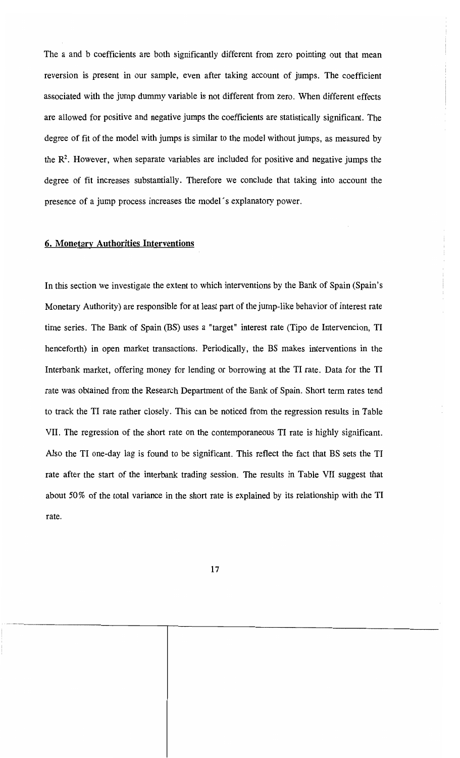The a and b coefficients are both significantly different from zero pointing out that mean reversion is present in our sample, even after taking account of jumps. The coefficient associated with the jump dummy variable is not different from zero. When different effects are allowed for positive and negative jumps the coefficients are statistically significant. The degree of fit of the model with jumps is similar to the model without jumps, as measured by the  $\mathbb{R}^2$ . However, when separate variables are included for positive and negative jumps the degree of fit increases substantially. Therefore we conclude that taking into account the presence of a jump process increases the model's explanatory power.

#### 6. Monetary Authorities Interventions

In this section we investigate the extent to which interventions by the Bank of Spain (Spain's Monetary Authority) are responsible for at least part of the jump-like behavior of interest rate time series. The Bank of Spain (BS) uses a "target" interest rate (Tipo de Intervencion, TI henceforth) in open market transactions. Periodically, the BS makes interventions in the Interbank market, offering money for lending or borrowing at the TI rate. Data for the TI rate was obtained from the Research Department of the Bank of Spain. Short term rates tend to track the TI rate rather c1osely. This can be noticed from the regression results in Table VII. The regression of the short rate on the contemporaneous TI rate is highly significant. AIso the TI one-day lag is found to be significant. This reflect the fact that BS sets the TI rate after the start of the interbank trading session. The results in Table VII suggest that about 50% of the total variance in the short rate is explained by its relationship with the TI rate.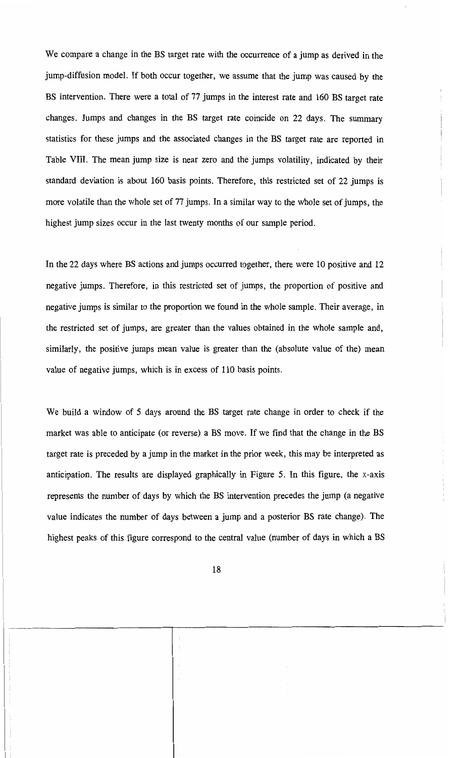We compare a change in the BS target rate with the occurrence of a jump as derived in the jump-diffusion model. If both occur together, we assume that the jump was caused by the BS intervention. There were a total of 77 jumps in the interest rate and 160 BS target rate changes. Jumps and changes in the BS target rate coincide on 22 days. The summary statistics for these jumps and the associated changes in the BS target rate are reported in Table VIII. The mean jump size is near zero and the jumps volatility, indicated by their standard deviation is about 160 basis points. Therefore, this restricted set of 22 jumps is more volatile than the whole set of 77 jumps. In a similar way to the whole set of jumps, the highest jump sizes occur in the last twenty months of our sample period.

In the 22 days where BS actions and jumps occurred together, there were 10 positive and 12 negative jumps. Therefore, in this restricted set of jumps, the proportion of positive and negative jumps is similar to the proportion we found in the whole sample. Their average, in the restricted set of jumps, are greater than the values obtained in the whole sample and, similarly, the positive jumps mean value is greater than the (absolute value of the) mean value of negative jumps, which is in excess of 110 basis points.

We build a window of 5 days around the BS target rate change in order to check if the market was able to anticipate (or reverse) a BS move. If we find that the change in the BS target rate is preceded by a jump in the market in the prior week, this may be interpreted as anticipation. The results are displayed graphically in Figure 5. In this figure, the x-axis represents the number of days by which the BS intervention precedes the jump (a negative value indicates the number of days between a jump and a posterior BS rate change). The highest peaks of this figure correspond to the central value (number of days in which a BS

"",-,,-,-,-- -----------r-----------------------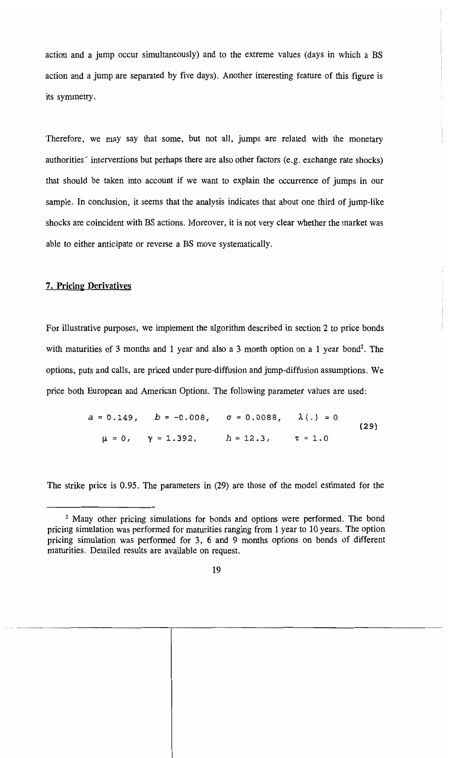action and a jump occur simultaneously) and to the extreme values (days in which a BS action and a jump are separated by five days). Another interesting feature of this figure is its syrnmetry.

Therefore, we may say that some, but not all, jumps are related with the monetary authorities' interventions but perhaps there are also other factors (e.g. exchange rate shocks) that should be taken into account if we want to explain the occurrence of jumps in our sample. In conclusion, it seems that the analysis indicates that about one third of jump-like shocks are coincident with BS actions. Moreover, it is not very clear whether the market was able to either anticipate or reverse a BS move systematically.

# 7. **Pricing** Derivatives

For illustrative purposes, we implement the algorithm described in section 2 to price bonds with maturities of 3 months and 1 year and also a 3 month option on a 1 year bond<sup>2</sup>. The options, puts and calls, are priced under pure-diffusion and jump-diffusion assumptions. We price both European and American Options. The following parameter values are used:

> $a = 0.149$ ,  $b = -0.008$ ,  $\sigma = 0.0088$ ,  $\lambda(.) = 0$ (29 )  $\mu = 0$ ,  $\gamma = 1.392$ ,  $h = 12.3$ ,  $\tau = 1.0$

The strike price is 0.95. The parameters in (29) are those of the model estimated for the

--------\_.\_-------------,--------------------------

<sup>&</sup>lt;sup>2</sup> Many other pricing simulations for bonds and options were performed. The bond pricing simulation was performed for maturities ranging frem 1 year to 10 years. The option pricing simulation was performed for 3, 6 and 9 months options on bonds of different maturities. Detailed results are available on request.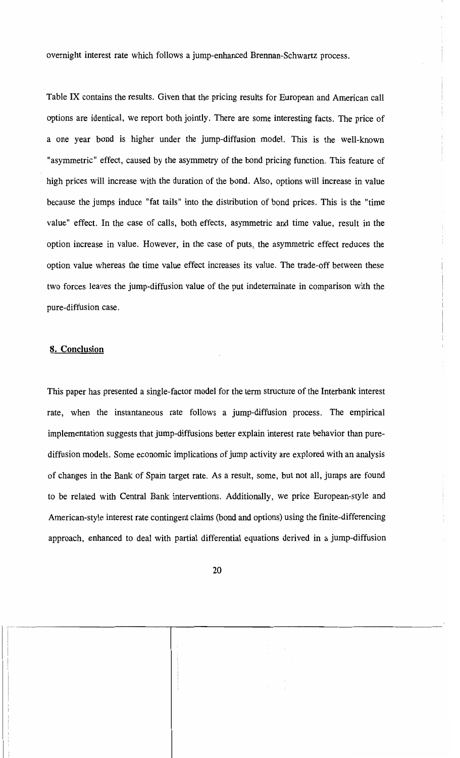overnight interest rate which follows a jump-enhanced Brennan-Schwartz process.

Table IX contains the results. Given that the pricing results for European and American call options are identical, we report both joint1y. There are sorne interesting facts. The price of a one year bond is higher under the jump-diffusion model. This is the well-known "asyrnmetric" effect, caused by the asyrnmetry of the bond pricing function. This feature of high prices will increase with the duration of the bond. AIso, options will increase in value because the jumps induce "fat tails" into the distribution of bond prices. This is the "time value" effect. In the case of calls, both effects, asyrnmetric and time value, result in the option increase in value. However, in the case of puts, the asyrnmetric effect reduces the option value whereas the time value effect increases its value. The trade-off between these two forces leaves the jump-diffusion value of the put indeterminate in comparison with the pure-diffusion case.

#### 8. Conclusion

This paper has presented a single-factor model for the term structure of the Interbank interest rate, when the instantaneous rate follows a jump-diffusion process. The empirical implementation suggests that jump-diffusions better explain interest rate behavior than purediffusion models. Some economic implications of jump activity are explored with an analysis of changes in the Bank of Spain target rate. As a result, some, but not all, jumps are found to be related with Central Bank interventions. Additionally, we price European-style and American-style interest rate contingent claims (bond and options) using the finite-differencing approach, enhanced to deal with partial differential equations derived in a jump-diffusion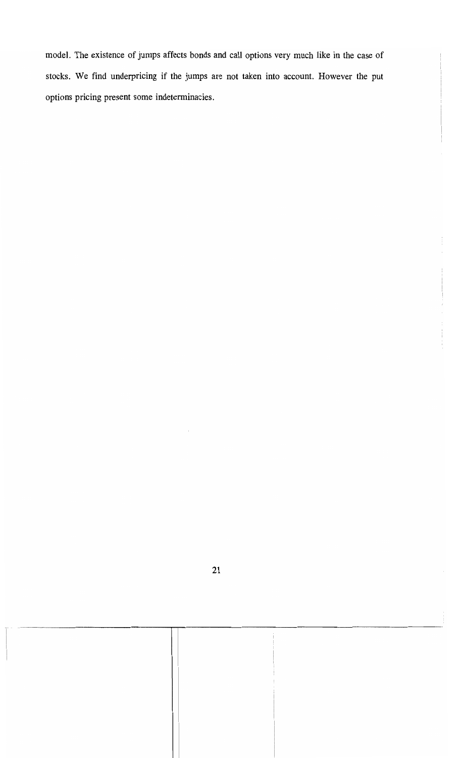model. The existence of jumps affects bonds and call options very much like in the case of stocks. We find underpricing if the jurnps are not taken into account. However the put options pricing present sorne indeterminacies.

-------------------------.-.,.-----------------------\_.\_----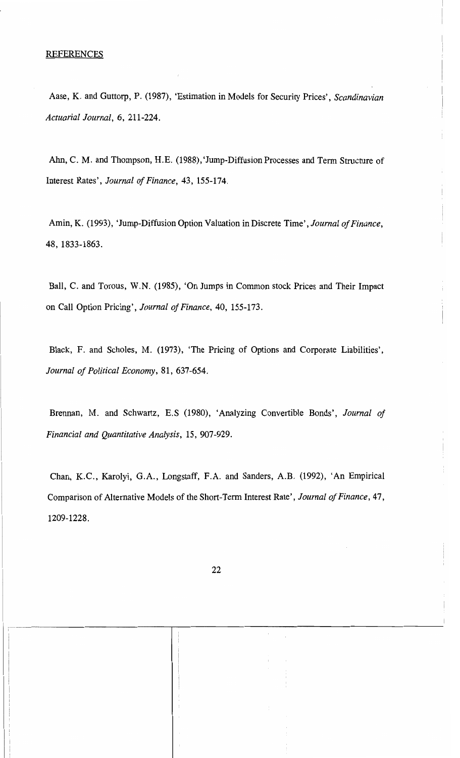#### REFERENCES

Aase, K. and Guttorp, P. (1987), 'Estimation in Models for Security Prices', *Scandinavian Actuaria! Jouma!,* 6, 211-224.

Ahn, C. M. and Thompson, H.E. (1988), 'Jump-Diffusion Processes and Term Structure of Interest Rates', *Jouma! 01 Finance,* 43, 155-174.

Amin, K. (1993), 'Jump-Diffusion Option Valuation in Discrete Time', *Journal of Finance*, 48, 1833-1863.

Ball, C. and Torous, W.N. (1985), 'On Jumps in Common stock Prices and Their Impact on Call Option Pricing', *Journal of Finance*, 40, 155-173.

Black, F. and Scholes, M. (1973), 'The Pricing of Options and Corporate Liabilities', *Jouma! 01 Política! Economy,* 81, 637-654.

Brennan, M. and Schwartz, E.S (1980), 'Analyzing Convertible Bonds', *Journal of Financia! and Quantitative Ana!ysis,* 15, 907-929.

Chan, K.C., Karolyi, G.A., Longstaff, F.A. and Sanders, A.B. (1992), 'An Empirical Comparison of Alternative Models of the Short-Term Interest Rate', *Journal of Finance*, 47, 1209-1228.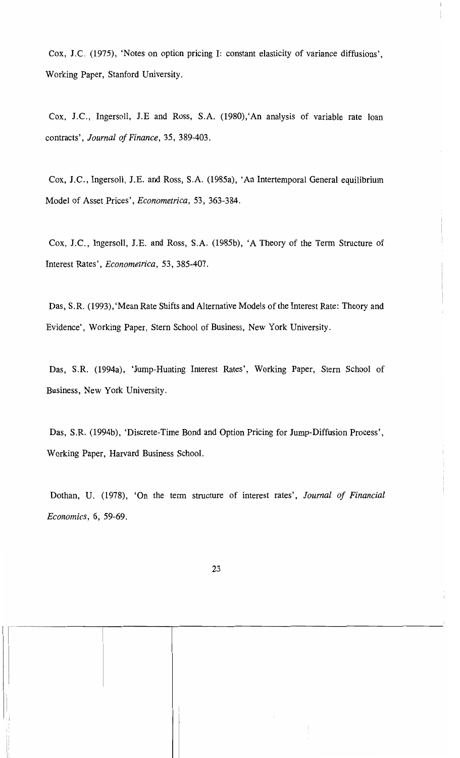Cox, J.C. (1975), 'Notes on option pricing 1: constant elasticity of variance diffusions', Working Paper, Stanford University.

 $\mathbb{I}$ 

Cox, J.C., Ingersoll, J.E and Ross, S.A. (1980), 'An analysis of variable rate loan contracts', *Journal 01 Finance*, 35, 389-403.

Cox, J.C., Ingersoll, J.E. and Ross, S.A. (1985a), 'An Intertemporal General equilibrium Model of Asset Prices', *Econometrica,* 53, 363-384.

Cox, J.C., Ingersoll, J.E. and Ross, S.A. (1985b), 'A Theory of the Term Structure of Interest Rates', *Econometrica,* 53, 385-407.

Das, S.R. (1993), 'Mean Rate Shifts and Alternative Models of the Interest Rate: Theory and Evidence', Working Paper, Stern School of Business, New York University.

Das, S.R. (1994a), 'Jump-Hunting Interest Rates', Working Paper, Stern School of Business, New York University.

Das, S.R. (1994b), 'Discrete-Time Bond and Option Pricing for Jump-Diffusion Process', Working Paper, Harvard Business School.

Dothan, U. (1978), 'On the term structure of interest rates', *Journal of Financial Economics,* 6, 59-69.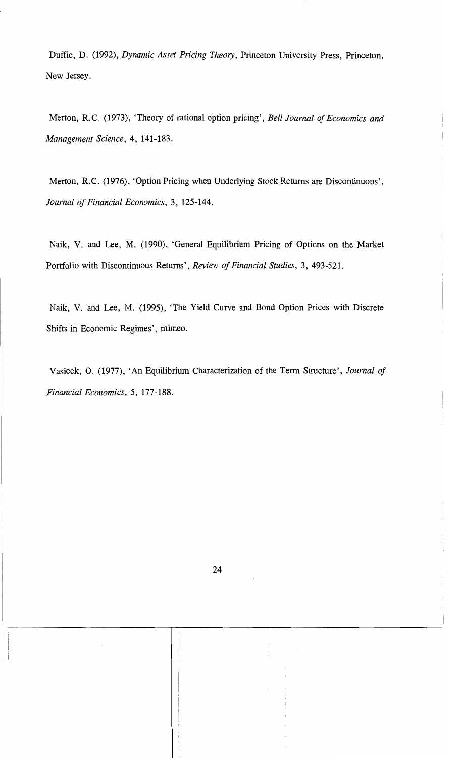Duffie, D. (1992), *Dynamic Asset Pricing Theory,* Princeton University Press, Princeton, New Jersey.

Merton, R.C. (1973), 'Theory of rational option pricing', *Bell Journal 01 Economics and Management Science,* 4, 141-183.

Merton, R.C. (1976), 'Option Pricing when Underlying Stock Returns are Discontinuous', *Journal 01 Financial Economics,* 3, 125-144.

Naik, V. and Lee, M. (1990), 'General Equilibrium Pricing of Options on the Market Portfolio with Discontinuous Returns', *Review 01 Financial Studies,* 3, 493-521.

Naik, V. and Lee, M. (1995), 'The Yield Curve and Bond Option Prices with Discrete Shifts in Economic Regimes', mimeo.

Vasicek, O. (1977), 'An Equilibrium Characterization of the Term Structure', *Journal 01 Financial Economics,* 5, 177-188.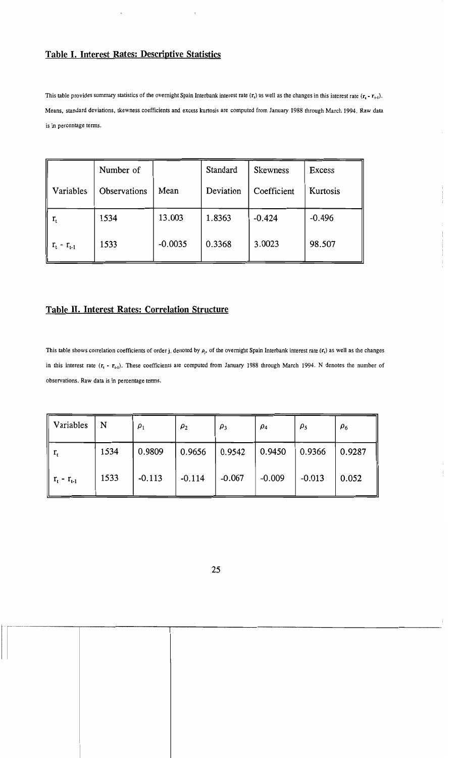# Table I. Interest Rates: Descriptive Statistics

This table provides summary statistics of the overnight Spain Interbank interest rate  $(r_i)$  as well as the changes in this interest rate  $(r_i - r_{i-1})$ . Means. standard deviations. skewness coefficients and excess kurtosis are computed from January 1988 through March 1994. Raw data is in percentage terms.

|                   | Number of    |           | Standard  | <b>Skewness</b> | Excess   |
|-------------------|--------------|-----------|-----------|-----------------|----------|
| Variables         | Observations | Mean      | Deviation | Coefficient     | Kurtosis |
| $\rm r_{t}$       | 1534         | 13.003    | 1.8363    | $-0.424$        | $-0.496$ |
| $r_{t} - r_{t-1}$ | 1533         | $-0.0035$ | 0.3368    | 3.0023          | 98.507   |

# Table II. Interest Rates: Correlation Structure

This table shows correlation coefficients of order j, denoted by  $\rho_j$ , of the overnight Spain Interbank interest rate  $(r_i)$  as well as the changes in this interest rate  $(r_t - r_{t-1})$ . These coefficients are computed from January 1988 through March 1994. N denotes the number of observations. Raw data is in percentage terms.

| Variables               | N    | $\rho_1$ | $\rho_2$ | $\rho_3$ | $\rho_4$ | $\rho_5$ | $\rho_6$ |
|-------------------------|------|----------|----------|----------|----------|----------|----------|
| $r_{\rm t}$             | 1534 | 0.9809   | 0.9656   | 0.9542   | 0.9450   | 0.9366   | 0.9287   |
| $\  r_{t} - r_{t-1} \ $ | 1533 | $-0.113$ | $-0.114$ | $-0.067$ | $-0.009$ | $-0.013$ | 0.052    |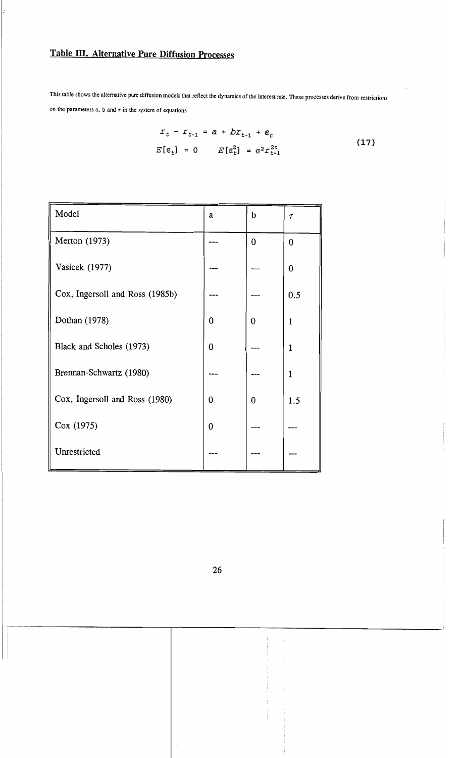# Table 111. Alternative Pure Diffusion Processes

This table shows the alternative pure diffusion models that reflect the dynamics of the interest rate. These processes derive from restrictions on the parameters a, b and  $\tau$  in the system of equations

$$
x_{t} - x_{t-1} = a + bx_{t-1} + \varepsilon_{t}
$$
  

$$
E[\varepsilon_{t}] = 0 \qquad E[\varepsilon_{t}^{2}] = \sigma^{2} x_{t-1}^{2\tau}
$$
 (17)

| Model                           | a            | b | $\tau$         |
|---------------------------------|--------------|---|----------------|
| Merton (1973)                   |              | 0 | $\overline{0}$ |
| Vasicek (1977)                  |              |   | 0              |
| Cox, Ingersoll and Ross (1985b) |              |   | 0.5            |
| Dothan (1978)                   | 0            | 0 | 1              |
| Black and Scholes (1973)        | $\mathbf{0}$ |   | 1              |
| Brennan-Schwartz (1980)         |              |   | 1              |
| Cox, Ingersoll and Ross (1980)  | 0            | 0 | 1.5            |
| Cox (1975)                      | 0            |   |                |
| Unrestricted                    |              |   |                |

*"'-."--------"--------------r-------------------------*--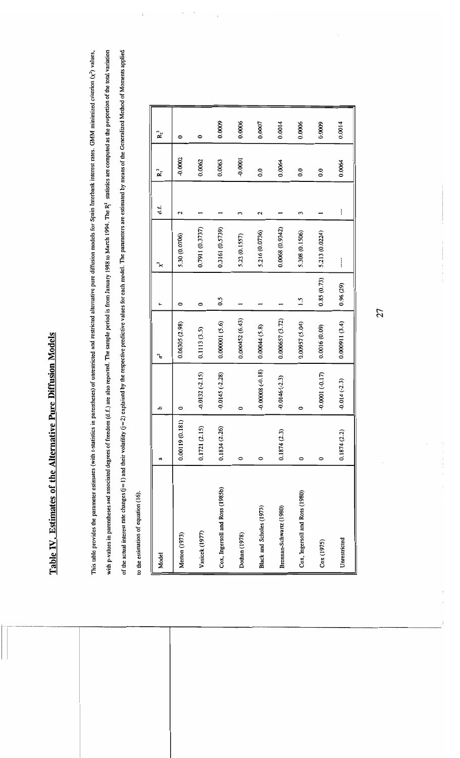# Table IV. Estimates of the Alternative Pure Diffusion Models **Table IV. Estimates oC the Alternative Pure DiCCusion Models**

This table provides the parameter estimates (with t-statistics in parentheses) of unrestricted and restricted alternative pure diffusion models for Spain Interbank interest rates. GMM minimized criterion  $(\chi^2)$  values, with p-values in parentheses and associated degrees of freedom (d.f.) are also reported. The geample period is from January 1988 to March 1994. The R3 statistics are computed as the proportion of the total variation with p-values in parentheses and associated degrees of freedom (d.f.) are also reported. The sample period is from January 1988 to March 1994. The R<sup>4</sup> statistics are computed as the proportion of the total variation of the actual interest rate changes (j=1) and their volatility (j=2) explained by the respective values for each model. The parameters are estimated by means of the Generalized Method of Moments applied This table provides the parameter estimates (with t-statistics in parentheses) of unrestricted and restricted alternative pure diffusion models for Spain Interbank interest rates. GMM minimized criterion  $(x^2)$  values, of the actual interest rate changes (j=1) and their volatility (j=2) explained by the respective predictive values for each model. The parameters are estimated by means of the Generalized Method of Moments applied to the estimation of equation (16). to the estimation of equation (16).

| Model                           | a              | م                 | Ъ              | ۳          | ⊁               | d. | $R_1^2$           | $R_2^2$ |
|---------------------------------|----------------|-------------------|----------------|------------|-----------------|----|-------------------|---------|
| Merton (1973)                   | 0.00119(0.181) |                   | 0.06305(2.98)  | 0          | 5.30 (0.0706)   | 2  | $-0.0002$         | 0       |
| Vasicek (1977)                  | 0.1721 (2.15)  | $-0.0132(-2.15)$  | 0.1113(3.5)    | 0          | 0.7911 (0.3737) |    | 0.0062            | 0       |
| Cox, Ingersoll and Ross (1985b) | 0.1834 (2.26)  | $-0.0145 (-2.28)$ | 0.000001(5.6)  | 0.5        | 0.3161 (0.5739) |    | 0.0063            | 0.0009  |
| Dothan (1978)                   | 0              | 0                 | 0.000452(6.43) |            | 5.23 (0.1557)   | 3  | $-0.0001$         | 0.0006  |
| Black and Scholes (1973)        | 0              | $-0.00008(-0.18)$ | 0.00044(5.8)   |            | 5.216 (0.0736)  | 2  | $\overline{0}$ .0 | 0.0007  |
| Brennan-Schwartz (1980)         | 0.1874(2.3)    | $-0.0146(-2.3)$   | 0.000657(3.72) |            | 0.0068(0.9342)  |    | 0.0064            | 0.0014  |
| Cox, Ingersoll and Ross (1980)  | 0              | 0                 | 0.00957 (5.04) | 1.5        | 5.308 (0.1506)  | 3  | $\overline{0.0}$  | 0.0006  |
| Cox(1975)                       | 0              | $-0.0001(-0.17)$  | 0.0016(0.09)   | 0.85(0.73) | 5.213 (0.0224)  |    | $\overline{0}$    | 0.0009  |
| Unrestricted                    | 0.1874(2.2)    | $-0.014(-2.3)$    | 0.000911(3.4)  | 0.96(29)   | i               | I  | 0.0064            | 0.0014  |

27

 $\frac{1}{1}$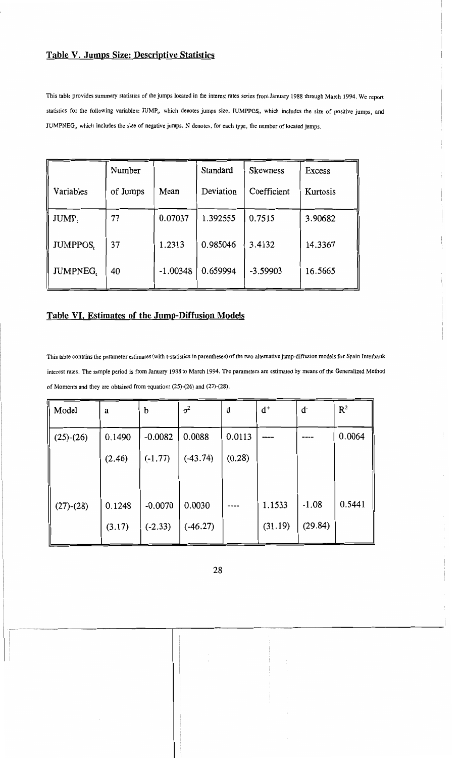# **Table V. Jumps Size: Descriptive Statistics**

This table provides summary statistics of the jumps located in the interest rates series from January 1988 through March 1994. We report statistics for the following variables: JUMP<sub>1</sub>, which denotes jumps size, JUMPPOS<sub>1</sub>, which includes the size of positive jumps, and JUMPNEG,, which includes the size of negative jumps. N denotes, for each type, the number of located jumps.

|                 | Number   |            | Standard  | <b>Skewness</b> | Excess   |
|-----------------|----------|------------|-----------|-----------------|----------|
| Variables       | of Jumps | Mean       | Deviation | Coefficient     | Kurtosis |
| JUMP,           | 77       | 0.07037    | 1.392555  | 0.7515          | 3.90682  |
| <b>JUMPPOS,</b> | 37       | 1.2313     | 0.985046  | 3.4132          | 14.3367  |
| <b>JUMPNEG,</b> | 40       | $-1.00348$ | 0.659994  | $-3.59903$      | 16.5665  |

# **Table VI. Estimates of the Jump-Diffusion Models**

This table contains the parameter estimates (with t-statistics in parentheses) of the two alternative jump-diffusion models for Spain Interbank interest rates. The sample period is from January 1988 to March 1994. The parameters are estimated by means of the Generalized Method of Moments and they are obtained from equations  $(25)-(26)$  and  $(27)-(28)$ .

| Model       | a      | b         | $\sigma^2$ | d      | $d^+$   | ď       | $\mathbb{R}^2$ |
|-------------|--------|-----------|------------|--------|---------|---------|----------------|
| $(25)-(26)$ | 0.1490 | $-0.0082$ | 0.0088     | 0.0113 |         |         | 0.0064         |
|             | (2.46) | $(-1.77)$ | $(-43.74)$ | (0.28) |         |         |                |
|             |        |           |            |        |         |         |                |
| $(27)-(28)$ | 0.1248 | $-0.0070$ | 0.0030     |        | 1.1533  | $-1.08$ | 0.5441         |
|             | (3.17) | $(-2.33)$ | $(-46.27)$ |        | (31.19) | (29.84) |                |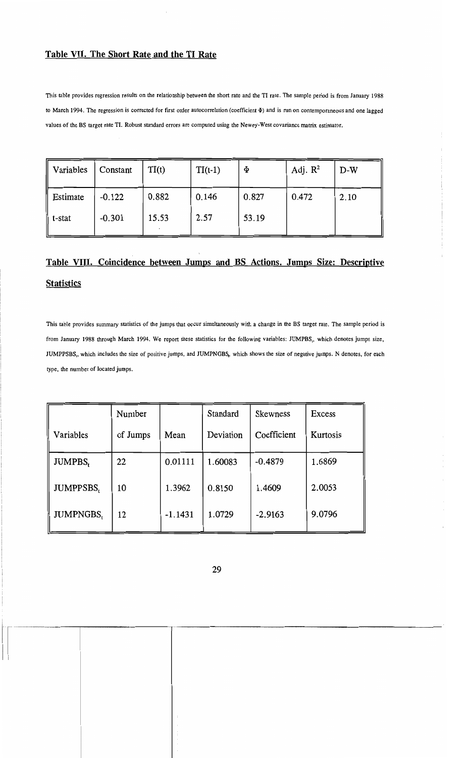# Table VII. The Short Rate and the TI Rate

This table provides regression results on the relationship between the short rate and the TI rate. The sample period is from January 1988 to March 1994. The regression is corrected for first order autocorrelation (coefficient  $\Phi$ ) and is run on contemporaneous and one lagged values of the BS target rate TI. Robust standard errors are computed using the Newey-West covariance matrix estimator.

| Variables | Constant | TI(t) | $TI(t-1)$ | $\Phi$ | Adj. $R^2$ | $D-W$ |
|-----------|----------|-------|-----------|--------|------------|-------|
| Estimate  | $-0.122$ | 0.882 | 0.146     | 0.827  | 0.472      | 2.10  |
| t-stat    | $-0.301$ | 15.53 | 2.57      | 53.19  |            |       |

# Table VIII. Coincidence between Jumps and BS Actions. Jumps Size: Descriptive **Statistics**

This table provides summary statistics of the jumps that occur simultaneously with a change in the BS target rate. The sample period is from January 1988 through March 1994. We report these statistics for the following variables: JUMPBS,. which denotes jumps size, JUMPPSBS,, which includes the size of positive jumps, and JUMPNGBS, which shows the size of negative jumps. N denotes, for each type, the number of located jumps.

|                  | Number   |           | Standard  | <b>Skewness</b> | Excess   |
|------------------|----------|-----------|-----------|-----------------|----------|
| Variables        | of Jumps | Mean      | Deviation | Coefficient     | Kurtosis |
| <b>JUMPBS,</b>   | 22       | 0.01111   | 1.60083   | $-0.4879$       | 1.6869   |
| <b>JUMPPSBS,</b> | 10       | 1.3962    | 0.8150    | 1.4609          | 2.0053   |
| <b>JUMPNGBS,</b> | 12       | $-1.1431$ | 1.0729    | $-2.9163$       | 9.0796   |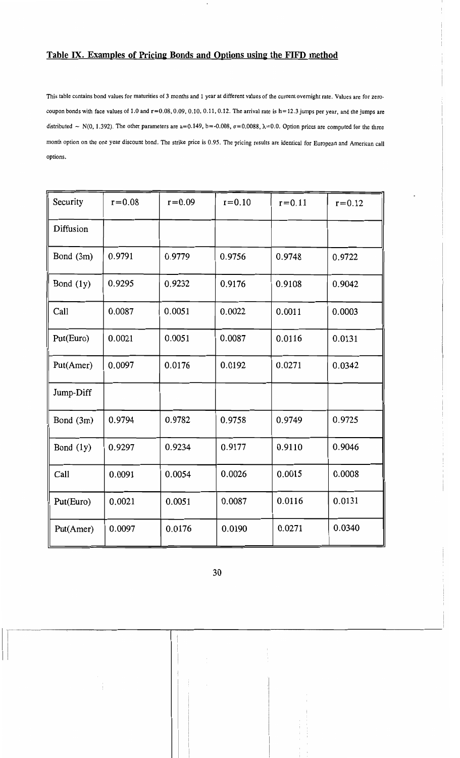# **Table IX. Examples of Pricing Bonds and Options using the FIFD method**

This table contains bond values for maturities of 3 months and 1 year at different values of the current overnight rate. Values are for zerocoupon bonds with face values of 1.0 and r=0.08. 0.09.0.10.0.11.0.12. The arrival rate is **h=** 12.3 jumps per year. and the jumps are distributed  $\sim$  N(0, 1.392). The other parameters are a=0.149, b=-0.008,  $\sigma$ =0.0088,  $\lambda$ =0.0. Option prices are computed for the three month option on the one year discount bond. The strike price is 0.95. The pricing results are identical for European and American call options.

| Security    | $r = 0.08$ | $r = 0.09$ | $r = 0.10$ | $r = 0.11$ | $r = 0.12$ |
|-------------|------------|------------|------------|------------|------------|
| Diffusion   |            |            |            |            |            |
| Bond (3m)   | 0.9791     | 0.9779     | 0.9756     | 0.9748     | 0.9722     |
| Bond $(1y)$ | 0.9295     | 0.9232     | 0.9176     | 0.9108     | 0.9042     |
| Call        | 0.0087     | 0.0051     | 0.0022     | 0.0011     | 0.0003     |
| Put(Euro)   | 0.0021     | 0.0051     | 0.0087     | 0.0116     | 0.0131     |
| Put(Amer)   | 0.0097     | 0.0176     | 0.0192     | 0.0271     | 0.0342     |
| Jump-Diff   |            |            |            |            |            |
| Bond (3m)   | 0.9794     | 0.9782     | 0.9758     | 0.9749     | 0.9725     |
| Bond (1y)   | 0.9297     | 0.9234     | 0.9177     | 0.9110     | 0.9046     |
| Call        | 0.0091     | 0.0054     | 0.0026     | 0.0015     | 0.0008     |
| Put(Euro)   | 0.0021     | 0.0051     | 0.0087     | 0.0116     | 0.0131     |
| Put(Amer)   | 0.0097     | 0.0176     | 0.0190     | 0.0271     | 0.0340     |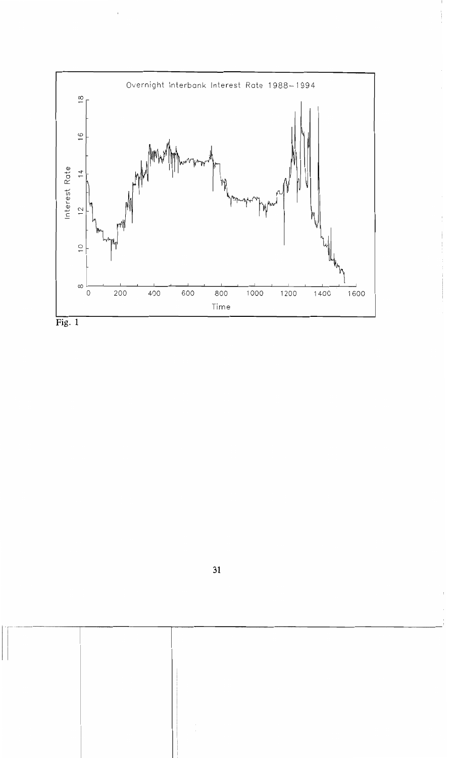

 $\begin{array}{c} \begin{array}{c} \begin{array}{c} \end{array} \\ \begin{array}{c} \end{array} \end{array} \end{array}$ 

**Fig. 1** 

 $\overline{\phantom{a}}$ 

.,.... ~---\_.\_--------------,...-----------------------------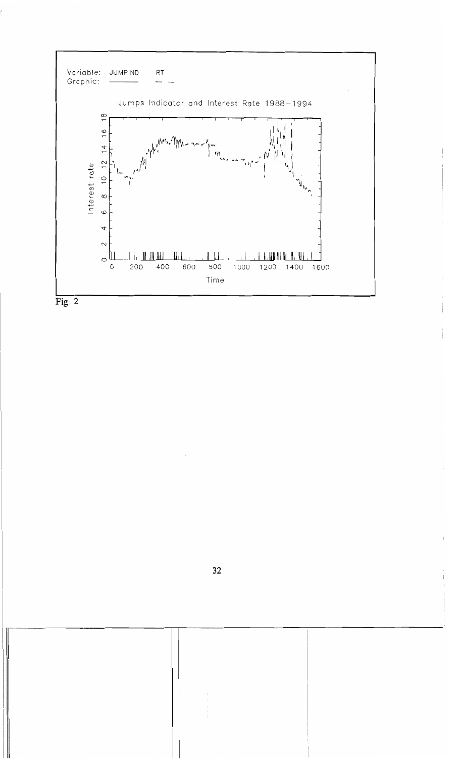



**II**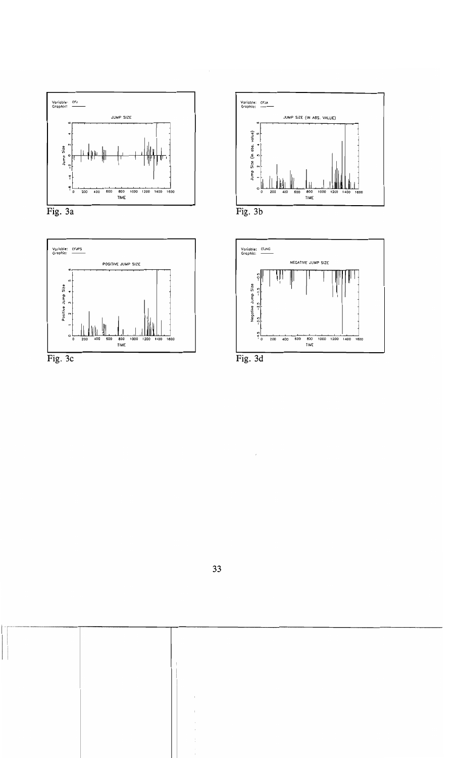







 $\mathcal{P}$ 

..\_--------,-----------,---------------------------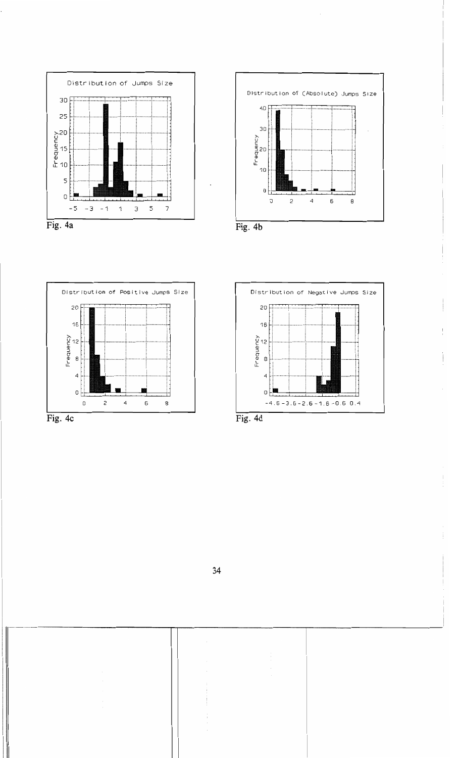









łШ



÷,